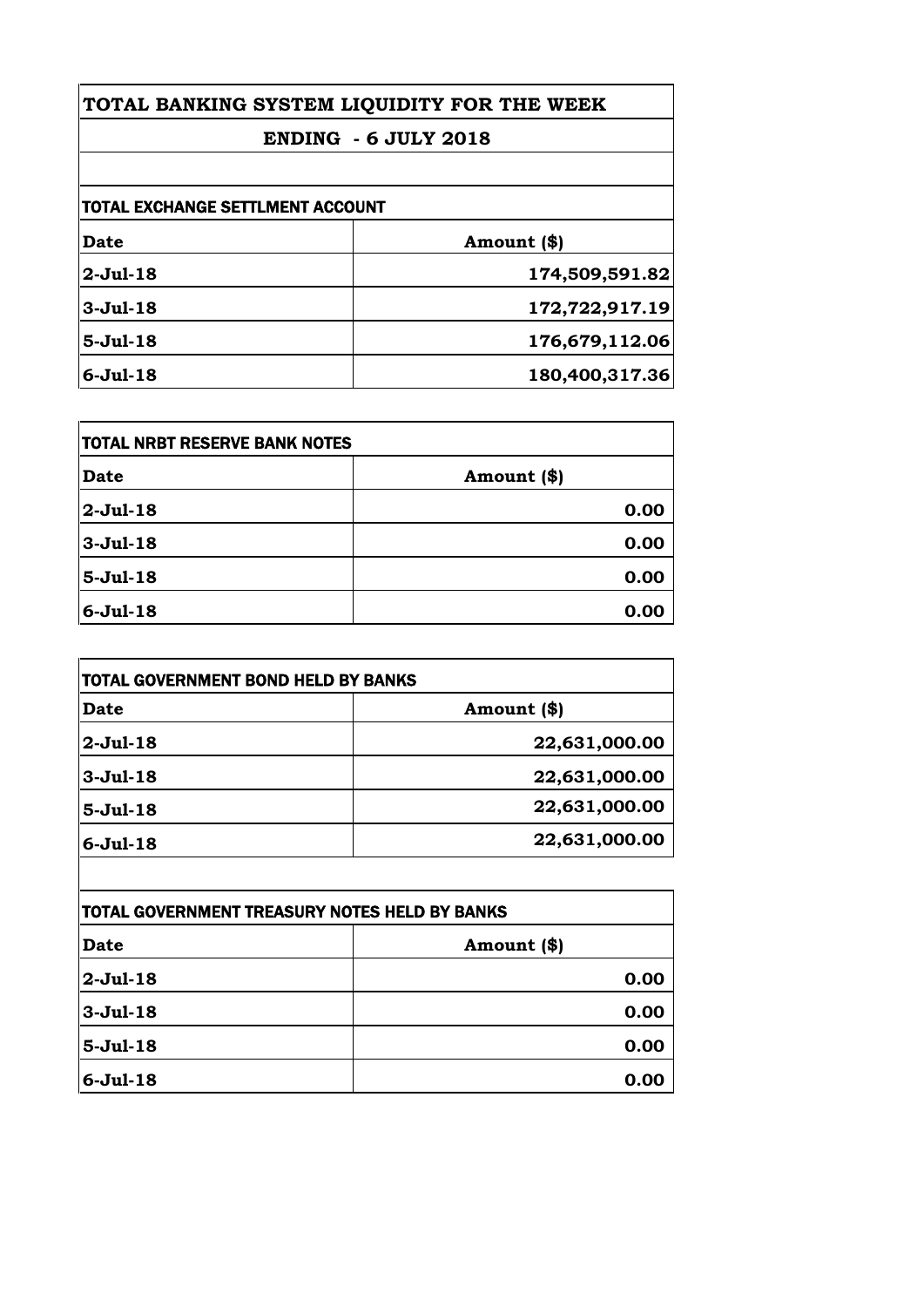## **TOTAL BANKING SYSTEM LIQUIDITY FOR THE WEEK ENDING - 6 JULY 2018**

| TOTAL EXCHANGE SETTLMENT ACCOUNT |                |
|----------------------------------|----------------|
| <b>Date</b>                      | Amount (\$)    |
| $2-Jul-18$                       | 174,509,591.82 |
| $3-Jul-18$                       | 172,722,917.19 |
| $5-Jul-18$                       | 176,679,112.06 |
| $6-Jul-18$                       | 180,400,317.36 |

| TOTAL NRBT RESERVE BANK NOTES |             |
|-------------------------------|-------------|
| <b>Date</b>                   | Amount (\$) |
| $2-Jul-18$                    | 0.00        |
| $3-Jul-18$                    | 0.00        |
| $5-Jul-18$                    | 0.00        |
| $6-Jul-18$                    | 0.00        |

| TOTAL GOVERNMENT BOND HELD BY BANKS |               |
|-------------------------------------|---------------|
| <b>Date</b>                         | Amount (\$)   |
| 2-Jul-18                            | 22,631,000.00 |
| $3-Jul-18$                          | 22,631,000.00 |
| $5-Jul-18$                          | 22,631,000.00 |
| $6-Jul-18$                          | 22,631,000.00 |

| TOTAL GOVERNMENT TREASURY NOTES HELD BY BANKS |             |
|-----------------------------------------------|-------------|
| <b>Date</b>                                   | Amount (\$) |
| $2-Jul-18$                                    | 0.00        |
| $3-Jul-18$                                    | 0.00        |
| $5-Jul-18$                                    | 0.00        |
| $6-Jul-18$                                    | 0.00        |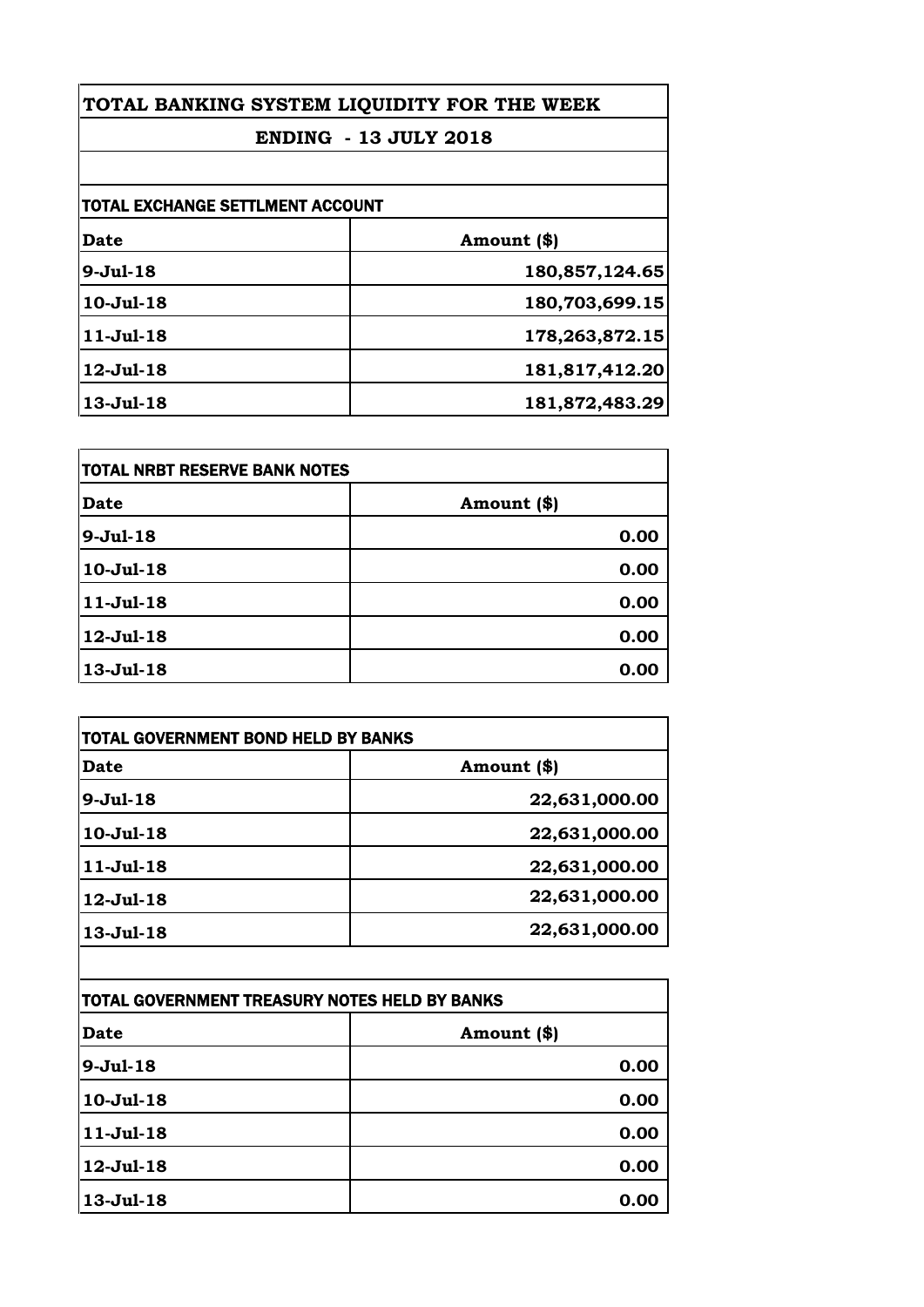| TOTAL BANKING SYSTEM LIQUIDITY FOR THE WEEK<br><b>ENDING - 13 JULY 2018</b> |                |
|-----------------------------------------------------------------------------|----------------|
|                                                                             |                |
| <b>TOTAL EXCHANGE SETTLMENT ACCOUNT</b>                                     |                |
| Date                                                                        | Amount (\$)    |
| $9-Jul-18$                                                                  | 180,857,124.65 |
| $10-Jul-18$                                                                 | 180,703,699.15 |
| $11-Jul-18$                                                                 | 178,263,872.15 |
| 12-Jul-18                                                                   | 181,817,412.20 |
| 13-Jul-18                                                                   | 181,872,483.29 |

| TOTAL NRBT RESERVE BANK NOTES |             |
|-------------------------------|-------------|
| Date                          | Amount (\$) |
| $9 - Jul - 18$                | 0.00        |
| $10-Jul-18$                   | 0.00        |
| $11-Jul-18$                   | 0.00        |
| 12-Jul-18                     | 0.00        |
| 13-Jul-18                     | 0.00        |

| Date             | Amount (\$)   |
|------------------|---------------|
| $9-Jul-18$       | 22,631,000.00 |
| $10 -$ Jul $-18$ | 22,631,000.00 |
| $11-Jul-18$      | 22,631,000.00 |
| $12$ -Jul-18     | 22,631,000.00 |
| 13-Jul-18        | 22,631,000.00 |

| TOTAL GOVERNMENT TREASURY NOTES HELD BY BANKS |             |
|-----------------------------------------------|-------------|
| <b>Date</b>                                   | Amount (\$) |
| $9-Jul-18$                                    | 0.00        |
| $10-Jul-18$                                   | 0.00        |
| $11-Jul-18$                                   | 0.00        |
| 12-Jul-18                                     | 0.00        |
| 13-Jul-18                                     | 0.00        |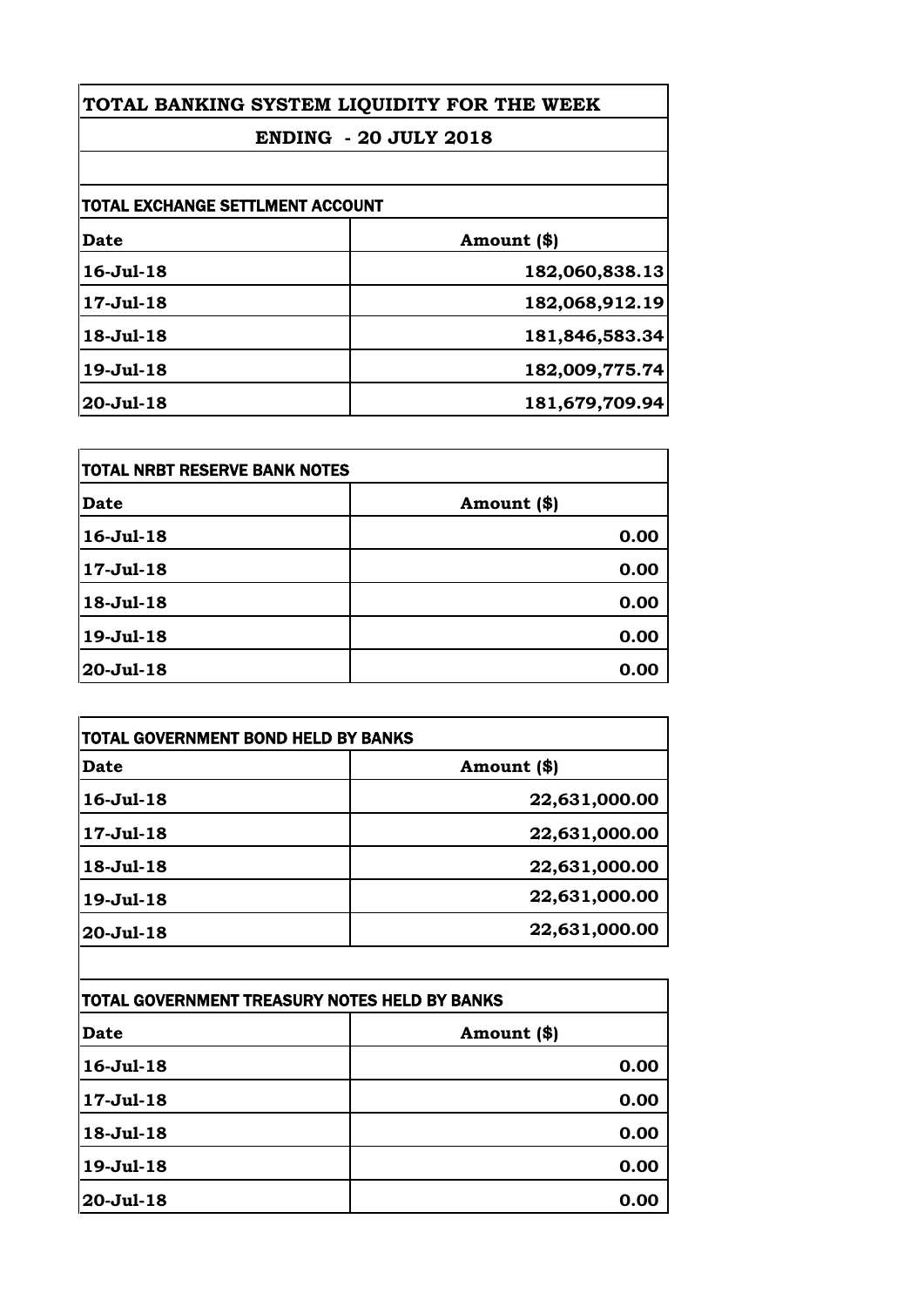| TOTAL BANKING SYSTEM LIQUIDITY FOR THE WEEK<br><b>ENDING - 20 JULY 2018</b> |  |
|-----------------------------------------------------------------------------|--|
|                                                                             |  |
| TOTAL EXCHANGE SETTLMENT ACCOUNT                                            |  |
| Amount (\$)                                                                 |  |
| 182,060,838.13                                                              |  |
| 182,068,912.19                                                              |  |
| 181,846,583.34                                                              |  |
| 182,009,775.74                                                              |  |
| 181,679,709.94                                                              |  |
|                                                                             |  |

| <b>TOTAL NRBT RESERVE BANK NOTES</b> |             |
|--------------------------------------|-------------|
| Date                                 | Amount (\$) |
| 16-Jul-18                            | 0.00        |
| 17-Jul-18                            | 0.00        |
| 18-Jul-18                            | 0.00        |
| 19-Jul-18                            | 0.00        |
| $20 -$ Jul-18                        | 0.00        |

| Date            | Amount (\$)   |
|-----------------|---------------|
| 16-Jul-18       | 22,631,000.00 |
| $17 -$ Jul-18   | 22,631,000.00 |
| $18 - Jul - 18$ | 22,631,000.00 |
| 19-Jul-18       | 22,631,000.00 |
| 20-Jul-18       | 22,631,000.00 |

| TOTAL GOVERNMENT TREASURY NOTES HELD BY BANKS |             |
|-----------------------------------------------|-------------|
| <b>Date</b>                                   | Amount (\$) |
| $16 -$ Jul $-18$                              | 0.00        |
| 17-Jul-18                                     | 0.00        |
| $18 - Jul - 18$                               | 0.00        |
| 19-Jul-18                                     | 0.00        |
| $20 -$ Jul $-18$                              | 0.00        |